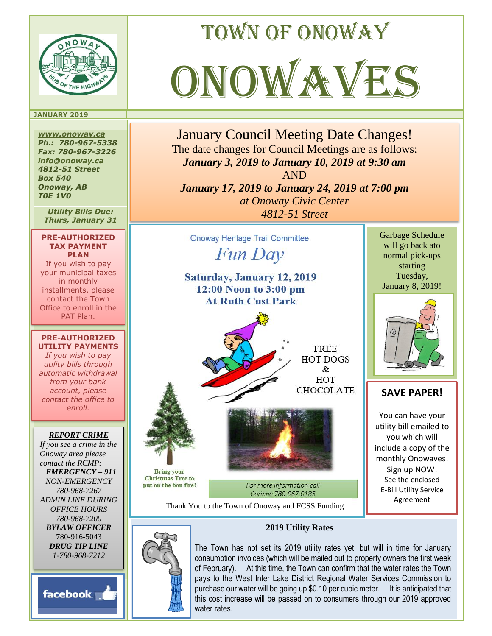

### **JANUARY 2019**

*www.onoway.ca Ph.: 780-967-5338 Fax: 780-967-3226 info@onoway.ca 4812-51 Street Box 540 Onoway, AB T0E 1V0*

*Utility Bills Due: Thurs, January 31*

**PRE-AUTHORIZED TAX PAYMENT PLAN** If you wish to pay your municipal taxes in monthly installments, please contact the Town Office to enroll in the PAT Plan.

#### **PRE-AUTHORIZED UTILITY PAYMENTS**

*If you wish to pay utility bills through automatic withdrawal from your bank account, please contact the office to enroll.*

## *REPORT CRIME*

*If you see a crime in the Onoway area please contact the RCMP: EMERGENCY – 911 NON-EMERGENCY 780-968-7267 ADMIN LINE DURING OFFICE HOURS 780-968-7200 BYLAW OFFICER* 780-916-5043 *DRUG TIP LINE 1-780-968-7212*

facebook.



Town of onoway



January Council Meeting Date Changes! The date changes for Council Meetings are as follows: *January 3, 2019 to January 10, 2019 at 9:30 am* AND *January 17, 2019 to January 24, 2019 at 7:00 pm at Onoway Civic Center 4812-51 Street*

**Onoway Heritage Trail Committee** Fun Day Saturday, January 12, 2019 12:00 Noon to 3:00 pm **At Ruth Cust Park FREE HOT DOGS** & HOT **CHOCOLATE Bring your Christmas Tree to** put on the bon fire! For more information call Corinne 780-967-0185

Thank You to the Town of Onoway and FCSS Funding

Garbage Schedule will go back ato normal pick-ups starting Tuesday, January 8, 2019!



# **SAVE PAPER!**

You can have your utility bill emailed to you which will include a copy of the monthly Onowaves! Sign up NOW! See the enclosed E-Bill Utility Service Agreement



## **2019 Utility Rates**

The Town has not set its 2019 utility rates yet, but will in time for January consumption invoices (which will be mailed out to property owners the first week of February). At this time, the Town can confirm that the water rates the Town pays to the West Inter Lake District Regional Water Services Commission to purchase our water will be going up \$0.10 per cubic meter. It is anticipated that this cost increase will be passed on to consumers through our 2019 approved water rates.